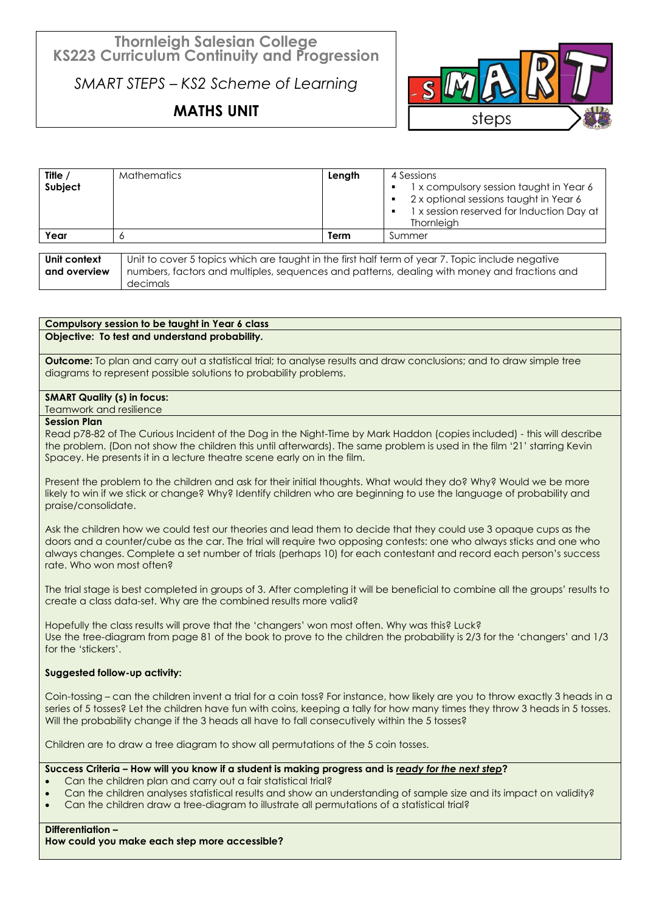## **Thornleigh Salesian College KS223 Curriculum Continuity and Progression**

*SMART STEPS – KS2 Scheme of Learning*

# **MATHS UNIT**



| Title $/$<br>Subject         | <b>Mathematics</b>                                                                                                                                                                                           | Length | 4 Sessions<br>1 x compulsory session taught in Year 6<br>2 x optional sessions taught in Year 6<br>1 x session reserved for Induction Day at<br>Thornleigh |
|------------------------------|--------------------------------------------------------------------------------------------------------------------------------------------------------------------------------------------------------------|--------|------------------------------------------------------------------------------------------------------------------------------------------------------------|
| Year                         |                                                                                                                                                                                                              | Term   | Summer                                                                                                                                                     |
|                              |                                                                                                                                                                                                              |        |                                                                                                                                                            |
| Unit context<br>and overview | Unit to cover 5 topics which are taught in the first half term of year 7. Topic include negative<br>numbers, factors and multiples, sequences and patterns, dealing with money and fractions and<br>decimals |        |                                                                                                                                                            |

### **Compulsory session to be taught in Year 6 class Objective: To test and understand probability.**

**Outcome:** To plan and carry out a statistical trial; to analyse results and draw conclusions; and to draw simple tree diagrams to represent possible solutions to probability problems.

### **SMART Quality (s) in focus:**

Teamwork and resilience

### **Session Plan**

Read p78-82 of The Curious Incident of the Dog in the Night-Time by Mark Haddon (copies included) - this will describe the problem. (Don not show the children this until afterwards). The same problem is used in the film '21' starring Kevin Spacey. He presents it in a lecture theatre scene early on in the film.

Present the problem to the children and ask for their initial thoughts. What would they do? Why? Would we be more likely to win if we stick or change? Why? Identify children who are beginning to use the language of probability and praise/consolidate.

Ask the children how we could test our theories and lead them to decide that they could use 3 opaque cups as the doors and a counter/cube as the car. The trial will require two opposing contests: one who always sticks and one who always changes. Complete a set number of trials (perhaps 10) for each contestant and record each person's success rate. Who won most often?

The trial stage is best completed in groups of 3. After completing it will be beneficial to combine all the groups' results to create a class data-set. Why are the combined results more valid?

Hopefully the class results will prove that the 'changers' won most often. Why was this? Luck? Use the tree-diagram from page 81 of the book to prove to the children the probability is 2/3 for the 'changers' and 1/3 for the 'stickers'.

### **Suggested follow-up activity:**

Coin-tossing – can the children invent a trial for a coin toss? For instance, how likely are you to throw exactly 3 heads in a series of 5 tosses? Let the children have fun with coins, keeping a tally for how many times they throw 3 heads in 5 tosses. Will the probability change if the 3 heads all have to fall consecutively within the 5 tosses?

Children are to draw a tree diagram to show all permutations of the 5 coin tosses.

### **Success Criteria – How will you know if a student is making progress and is** *ready for the next step***?**

- Can the children plan and carry out a fair statistical trial?
- Can the children analyses statistical results and show an understanding of sample size and its impact on validity?
- Can the children draw a tree-diagram to illustrate all permutations of a statistical trial?

### **Differentiation –**

**How could you make each step more accessible?**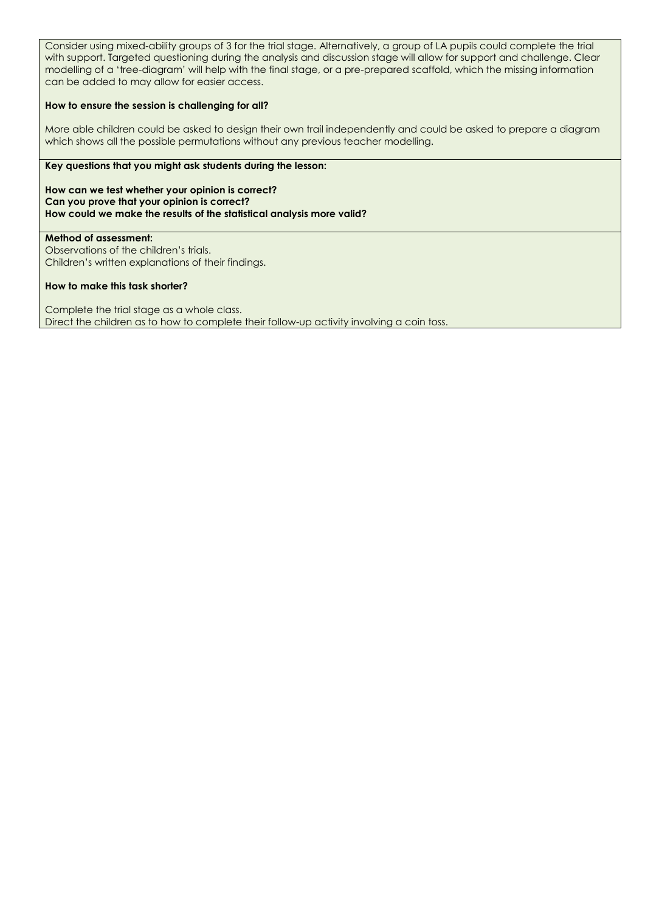Consider using mixed-ability groups of 3 for the trial stage. Alternatively, a group of LA pupils could complete the trial with support. Targeted questioning during the analysis and discussion stage will allow for support and challenge. Clear modelling of a 'tree-diagram' will help with the final stage, or a pre-prepared scaffold, which the missing information can be added to may allow for easier access.

### **How to ensure the session is challenging for all?**

More able children could be asked to design their own trail independently and could be asked to prepare a diagram which shows all the possible permutations without any previous teacher modelling.

### **Key questions that you might ask students during the lesson:**

**How can we test whether your opinion is correct? Can you prove that your opinion is correct? How could we make the results of the statistical analysis more valid?** 

**Method of assessment:** Observations of the children's trials. Children's written explanations of their findings.

### **How to make this task shorter?**

Complete the trial stage as a whole class. Direct the children as to how to complete their follow-up activity involving a coin toss.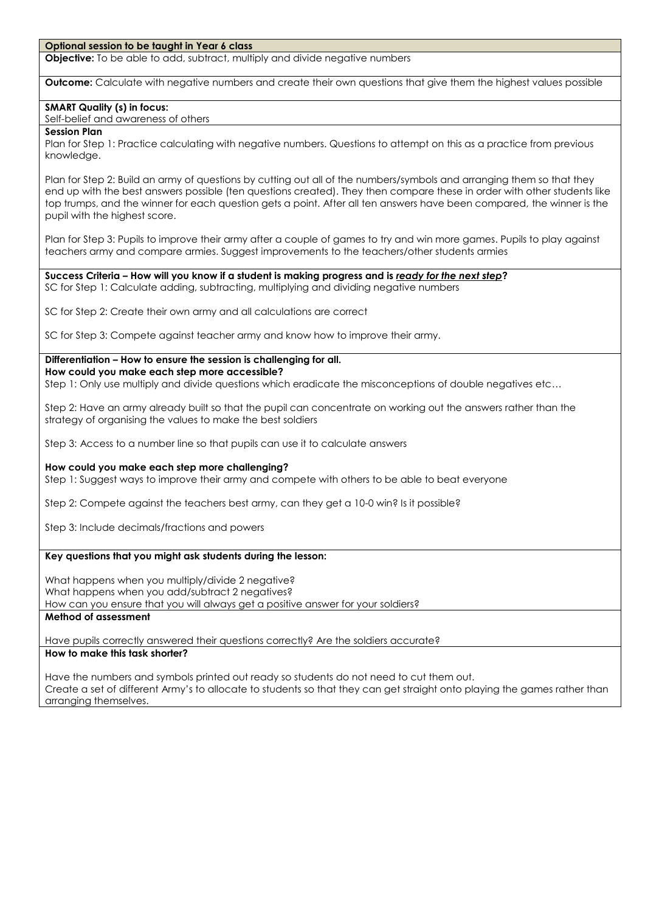#### **Optional session to be taught in Year 6 class**

**Objective:** To be able to add, subtract, multiply and divide negative numbers

**Outcome:** Calculate with negative numbers and create their own questions that give them the highest values possible

### **SMART Quality (s) in focus:**

Self-belief and awareness of others

### **Session Plan**

Plan for Step 1: Practice calculating with negative numbers. Questions to attempt on this as a practice from previous knowledge.

Plan for Step 2: Build an army of questions by cutting out all of the numbers/symbols and arranging them so that they end up with the best answers possible (ten questions created). They then compare these in order with other students like top trumps, and the winner for each question gets a point. After all ten answers have been compared, the winner is the pupil with the highest score.

Plan for Step 3: Pupils to improve their army after a couple of games to try and win more games. Pupils to play against teachers army and compare armies. Suggest improvements to the teachers/other students armies

**Success Criteria – How will you know if a student is making progress and is** *ready for the next step***?** SC for Step 1: Calculate adding, subtracting, multiplying and dividing negative numbers

SC for Step 2: Create their own army and all calculations are correct

SC for Step 3: Compete against teacher army and know how to improve their army.

**Differentiation – How to ensure the session is challenging for all. How could you make each step more accessible?**

Step 1: Only use multiply and divide questions which eradicate the misconceptions of double negatives etc…

Step 2: Have an army already built so that the pupil can concentrate on working out the answers rather than the strategy of organising the values to make the best soldiers

Step 3: Access to a number line so that pupils can use it to calculate answers

### **How could you make each step more challenging?**

Step 1: Suggest ways to improve their army and compete with others to be able to beat everyone

Step 2: Compete against the teachers best army, can they get a 10-0 win? Is it possible?

Step 3: Include decimals/fractions and powers

### **Key questions that you might ask students during the lesson:**

What happens when you multiply/divide 2 negative? What happens when you add/subtract 2 negatives? How can you ensure that you will always get a positive answer for your soldiers?

**Method of assessment**

Have pupils correctly answered their questions correctly? Are the soldiers accurate?

### **How to make this task shorter?**

Have the numbers and symbols printed out ready so students do not need to cut them out. Create a set of different Army's to allocate to students so that they can get straight onto playing the games rather than arranging themselves.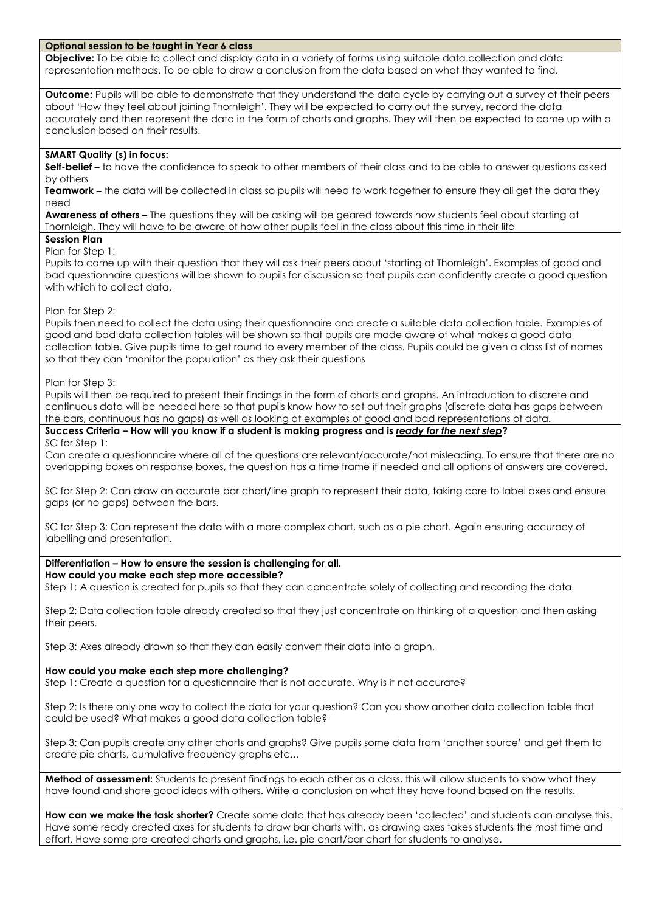### **Optional session to be taught in Year 6 class**

**Objective:** To be able to collect and display data in a variety of forms using suitable data collection and data representation methods. To be able to draw a conclusion from the data based on what they wanted to find.

**Outcome:** Pupils will be able to demonstrate that they understand the data cycle by carrying out a survey of their peers about 'How they feel about joining Thornleigh'. They will be expected to carry out the survey, record the data accurately and then represent the data in the form of charts and graphs. They will then be expected to come up with a conclusion based on their results.

### **SMART Quality (s) in focus:**

**Self-belief** – to have the confidence to speak to other members of their class and to be able to answer questions asked by others

**Teamwork** – the data will be collected in class so pupils will need to work together to ensure they all get the data they need

**Awareness of others –** The questions they will be asking will be geared towards how students feel about starting at Thornleigh. They will have to be aware of how other pupils feel in the class about this time in their life

### **Session Plan**

Plan for Step 1:

Pupils to come up with their question that they will ask their peers about 'starting at Thornleigh'. Examples of good and bad questionnaire questions will be shown to pupils for discussion so that pupils can confidently create a good question with which to collect data.

### Plan for Step 2:

Pupils then need to collect the data using their questionnaire and create a suitable data collection table. Examples of good and bad data collection tables will be shown so that pupils are made aware of what makes a good data collection table. Give pupils time to get round to every member of the class. Pupils could be given a class list of names so that they can 'monitor the population' as they ask their questions

Plan for Step 3:

Pupils will then be required to present their findings in the form of charts and graphs. An introduction to discrete and continuous data will be needed here so that pupils know how to set out their graphs (discrete data has gaps between the bars, continuous has no gaps) as well as looking at examples of good and bad representations of data.

### **Success Criteria – How will you know if a student is making progress and is** *ready for the next step***?**

SC for Step 1:

Can create a questionnaire where all of the questions are relevant/accurate/not misleading. To ensure that there are no overlapping boxes on response boxes, the question has a time frame if needed and all options of answers are covered.

SC for Step 2: Can draw an accurate bar chart/line graph to represent their data, taking care to label axes and ensure gaps (or no gaps) between the bars.

SC for Step 3: Can represent the data with a more complex chart, such as a pie chart. Again ensuring accuracy of labelling and presentation.

### **Differentiation – How to ensure the session is challenging for all.**

### **How could you make each step more accessible?**

Step 1: A question is created for pupils so that they can concentrate solely of collecting and recording the data.

Step 2: Data collection table already created so that they just concentrate on thinking of a question and then asking their peers.

Step 3: Axes already drawn so that they can easily convert their data into a graph.

### **How could you make each step more challenging?**

Step 1: Create a question for a questionnaire that is not accurate. Why is it not accurate?

Step 2: Is there only one way to collect the data for your question? Can you show another data collection table that could be used? What makes a good data collection table?

Step 3: Can pupils create any other charts and graphs? Give pupils some data from 'another source' and get them to create pie charts, cumulative frequency graphs etc…

**Method of assessment:** Students to present findings to each other as a class, this will allow students to show what they have found and share good ideas with others. Write a conclusion on what they have found based on the results.

**How can we make the task shorter?** Create some data that has already been 'collected' and students can analyse this. Have some ready created axes for students to draw bar charts with, as drawing axes takes students the most time and effort. Have some pre-created charts and graphs, i.e. pie chart/bar chart for students to analyse.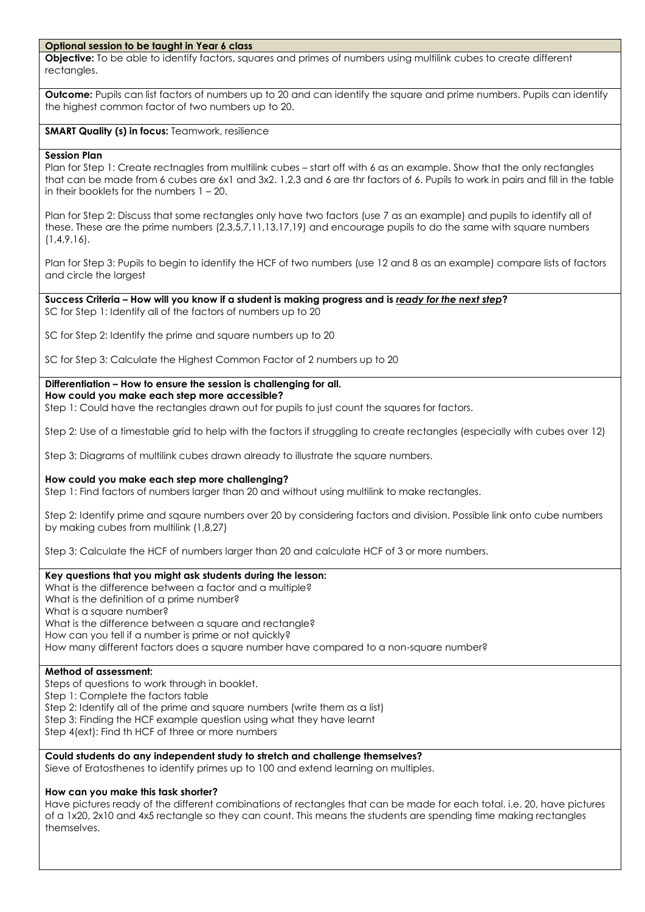### **Optional session to be taught in Year 6 class**

**Objective:** To be able to identify factors, squares and primes of numbers using multilink cubes to create different rectangles.

**Outcome:** Pupils can list factors of numbers up to 20 and can identify the square and prime numbers. Pupils can identify the highest common factor of two numbers up to 20.

### **SMART Quality (s) in focus: Teamwork, resilience**

### **Session Plan**

Plan for Step 1: Create rectnagles from multilink cubes – start off with 6 as an example. Show that the only rectangles that can be made from 6 cubes are 6x1 and 3x2. 1,2,3 and 6 are thr factors of 6. Pupils to work in pairs and fill in the table in their booklets for the numbers 1 – 20.

Plan for Step 2: Discuss that some rectangles only have two factors (use 7 as an example) and pupils to identify all of these. These are the prime numbers (2,3,5,7,11,13,17,19) and encourage pupils to do the same with square numbers (1,4,9,16).

Plan for Step 3: Pupils to begin to identify the HCF of two numbers (use 12 and 8 as an example) compare lists of factors and circle the largest

### **Success Criteria – How will you know if a student is making progress and is** *ready for the next step***?** SC for Step 1: Identify all of the factors of numbers up to 20

SC for Step 2: Identify the prime and square numbers up to 20

SC for Step 3: Calculate the Highest Common Factor of 2 numbers up to 20

### **Differentiation – How to ensure the session is challenging for all.**

### **How could you make each step more accessible?**

Step 1: Could have the rectangles drawn out for pupils to just count the squares for factors.

Step 2: Use of a timestable grid to help with the factors if struggling to create rectangles (especially with cubes over 12)

Step 3: Diagrams of multilink cubes drawn already to illustrate the square numbers.

### **How could you make each step more challenging?**

Step 1: Find factors of numbers larger than 20 and without using multilink to make rectangles.

Step 2: Identify prime and sqaure numbers over 20 by considering factors and division. Possible link onto cube numbers by making cubes from multilink (1,8,27)

Step 3: Calculate the HCF of numbers larger than 20 and calculate HCF of 3 or more numbers.

### **Key questions that you might ask students during the lesson:**

What is the difference between a factor and a multiple? What is the definition of a prime number? What is a sauare number? What is the difference between a square and rectangle? How can you tell if a number is prime or not quickly? How many different factors does a square number have compared to a non-square number?

### **Method of assessment:**

Steps of questions to work through in booklet. Step 1: Complete the factors table Step 2: Identify all of the prime and square numbers (write them as a list) Step 3: Finding the HCF example question using what they have learnt Step 4(ext): Find th HCF of three or more numbers

### **Could students do any independent study to stretch and challenge themselves?**

Sieve of Eratosthenes to identify primes up to 100 and extend learning on multiples.

### **How can you make this task shorter?**

Have pictures ready of the different combinations of rectangles that can be made for each total. i.e. 20, have pictures of a 1x20, 2x10 and 4x5 rectangle so they can count. This means the students are spending time making rectangles themselves.